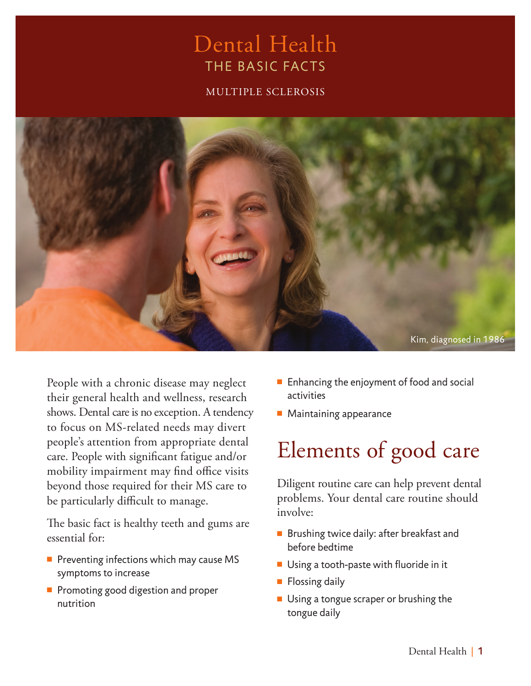### Dental Health THE BASIC FACTS

MULTIPLE SCLEROSIS



People with a chronic disease may neglect their general health and wellness, research shows. Dental care is no exception. A tendency to focus on MS-related needs may divert people's attention from appropriate dental care. People with significant fatigue and/or mobility impairment may find office visits beyond those required for their MS care to be particularly difficult to manage.

The basic fact is healthy teeth and gums are essential for:

- $\blacksquare$  Preventing infections which may cause MS symptoms to increase
- **Promoting good digestion and proper** nutrition
- $\blacksquare$  Enhancing the enjoyment of food and social activities
- $\blacksquare$  Maintaining appearance

# Elements of good care

Diligent routine care can help prevent dental problems. Your dental care routine should involve:

- $\blacksquare$  Brushing twice daily: after breakfast and before bedtime
- $\blacksquare$  Using a tooth-paste with fluoride in it
- $\blacksquare$  Flossing daily
- $\blacksquare$  Using a tongue scraper or brushing the tongue daily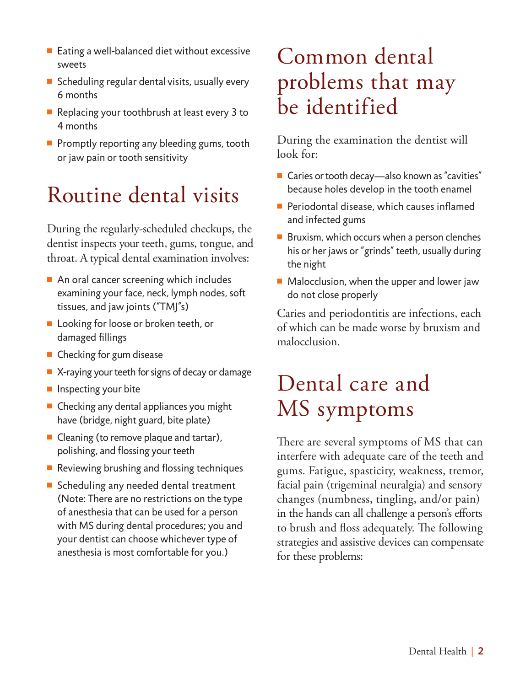- $\blacksquare$  Eating a well-balanced diet without excessive sweets
- Scheduling regular dental visits, usually every 6 months
- $\blacksquare$  Replacing your toothbrush at least every 3 to 4 months
- $\blacksquare$  Promptly reporting any bleeding gums, tooth or jaw pain or tooth sensitivity

# Routine dental visits

During the regularly-scheduled checkups, the dentist inspects your teeth, gums, tongue, and throat. A typical dental examination involves:

- $\blacksquare$  An oral cancer screening which includes examining your face, neck, lymph nodes, soft tissues, and jaw joints ("TMJ"s)
- Looking for loose or broken teeth, or damaged fillings
- $\blacksquare$  Checking for gum disease
- $\blacksquare$  X-raying your teeth for signs of decay or damage
- $\blacksquare$  Inspecting your bite
- $\blacksquare$  Checking any dental appliances you might have (bridge, night guard, bite plate)
- $\blacksquare$  Cleaning (to remove plaque and tartar), polishing, and flossing your teeth
- $\blacksquare$  Reviewing brushing and flossing techniques
- $\blacksquare$  Scheduling any needed dental treatment (Note: There are no restrictions on the type of anesthesia that can be used for a person with MS during dental procedures; you and your dentist can choose whichever type of anesthesia is most comfortable for you.)

# Common dental problems that may be identified

During the examination the dentist will look for:

- $\blacksquare$  Caries or tooth decay—also known as "cavities" because holes develop in the tooth enamel
- $\blacksquare$  Periodontal disease, which causes inflamed and infected gums
- $\blacksquare$  Bruxism, which occurs when a person clenches his or her jaws or "grinds" teeth, usually during the night
- $\blacksquare$  Malocclusion, when the upper and lower jaw do not close properly

Caries and periodontitis are infections, each of which can be made worse by bruxism and malocclusion.

## Dental care and MS symptoms

There are several symptoms of MS that can interfere with adequate care of the teeth and gums. Fatigue, spasticity, weakness, tremor, facial pain (trigeminal neuralgia) and sensory changes (numbness, tingling, and/or pain) in the hands can all challenge a person's efforts to brush and floss adequately. The following strategies and assistive devices can compensate for these problems: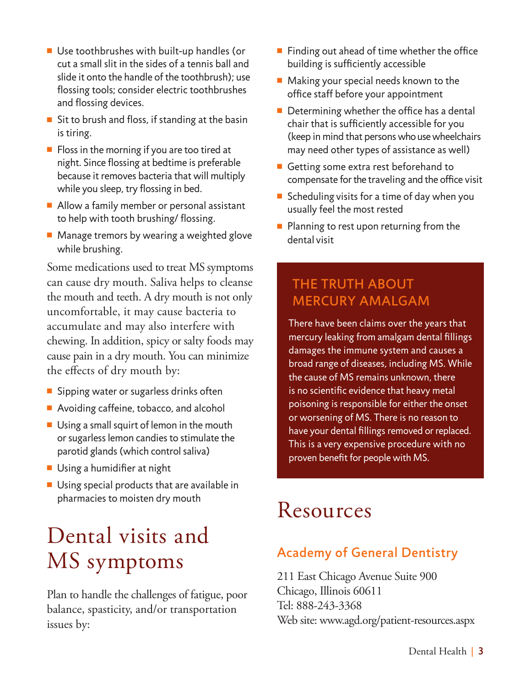- $\blacksquare$  Use toothbrushes with built-up handles (or cut a small slit in the sides of a tennis ball and slide it onto the handle of the toothbrush); use flossing tools; consider electric toothbrushes and flossing devices.
- Sit to brush and floss, if standing at the basin is tiring.
- $\blacksquare$  Floss in the morning if you are too tired at night. Since flossing at bedtime is preferable because it removes bacteria that will multiply while you sleep, try flossing in bed.
- $\blacksquare$  Allow a family member or personal assistant to help with tooth brushing/ flossing.
- $\blacksquare$  Manage tremors by wearing a weighted glove while brushing.

Some medications used to treat MS symptoms can cause dry mouth. Saliva helps to cleanse the mouth and teeth. A dry mouth is not only uncomfortable, it may cause bacteria to accumulate and may also interfere with chewing. In addition, spicy or salty foods may cause pain in a dry mouth. You can minimize the effects of dry mouth by:

- $\blacksquare$  Sipping water or sugarless drinks often
- $\blacksquare$  Avoiding caffeine, tobacco, and alcohol
- $\blacksquare$  Using a small squirt of lemon in the mouth or sugarless lemon candies to stimulate the parotid glands (which control saliva)
- $\blacksquare$  Using a humidifier at night
- $\blacksquare$  Using special products that are available in pharmacies to moisten dry mouth

# Dental visits and MS symptoms

Plan to handle the challenges of fatigue, poor balance, spasticity, and/or transportation issues by:

- Finding out ahead of time whether the office building is sufficiently accessible
- $\blacksquare$  Making your special needs known to the office staff before your appointment
- $\blacksquare$  Determining whether the office has a dental chair that is sufficiently accessible for you (keep in mind that persons who use wheelchairs may need other types of assistance as well)
- Getting some extra rest beforehand to compensate for the traveling and the office visit
- Scheduling visits for a time of day when you usually feel the most rested
- $\blacksquare$  Planning to rest upon returning from the dental visit

### THE TRUTH ABOUT MERCURY AMALGAM

There have been claims over the years that mercury leaking from amalgam dental fillings damages the immune system and causes a broad range of diseases, including MS. While the cause of MS remains unknown, there is no scientific evidence that heavy metal poisoning is responsible for either the onset or worsening of MS. There is no reason to have your dental fillings removed or replaced. This is a very expensive procedure with no proven benefit for people with MS.

### Resources

### Academy of General Dentistry

211 East Chicago Avenue Suite 900 Chicago, Illinois 60611 Tel: 888-243-3368 Web site: www.agd.org/patient-resources.aspx